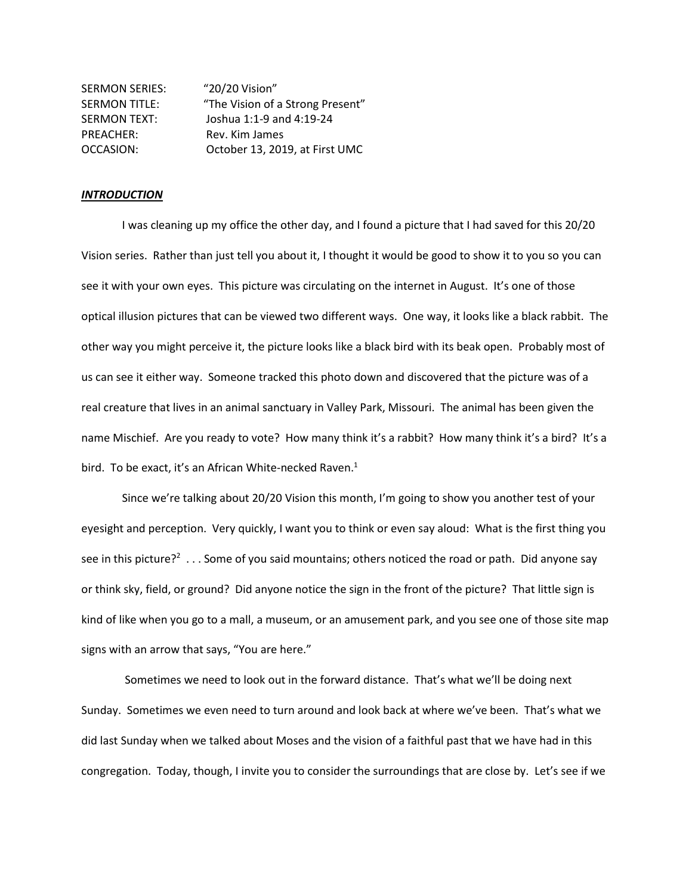| <b>SERMON SERIES:</b> | "20/20 Vision"                   |
|-----------------------|----------------------------------|
| <b>SERMON TITLE:</b>  | "The Vision of a Strong Present" |
| <b>SERMON TEXT:</b>   | Joshua 1:1-9 and 4:19-24         |
| PREACHER:             | Rev. Kim James                   |
| OCCASION:             | October 13, 2019, at First UMC   |

## *INTRODUCTION*

I was cleaning up my office the other day, and I found a picture that I had saved for this 20/20 Vision series. Rather than just tell you about it, I thought it would be good to show it to you so you can see it with your own eyes. This picture was circulating on the internet in August. It's one of those optical illusion pictures that can be viewed two different ways. One way, it looks like a black rabbit. The other way you might perceive it, the picture looks like a black bird with its beak open. Probably most of us can see it either way. Someone tracked this photo down and discovered that the picture was of a real creature that lives in an animal sanctuary in Valley Park, Missouri. The animal has been given the name Mischief. Are you ready to vote? How many think it's a rabbit? How many think it's a bird? It's a bird. To be exact, it's an African White-necked Raven.<sup>1</sup>

Since we're talking about 20/20 Vision this month, I'm going to show you another test of your eyesight and perception. Very quickly, I want you to think or even say aloud: What is the first thing you see in this picture?<sup>2</sup> . . . Some of you said mountains; others noticed the road or path. Did anyone say or think sky, field, or ground? Did anyone notice the sign in the front of the picture? That little sign is kind of like when you go to a mall, a museum, or an amusement park, and you see one of those site map signs with an arrow that says, "You are here."

Sometimes we need to look out in the forward distance. That's what we'll be doing next Sunday. Sometimes we even need to turn around and look back at where we've been. That's what we did last Sunday when we talked about Moses and the vision of a faithful past that we have had in this congregation. Today, though, I invite you to consider the surroundings that are close by. Let's see if we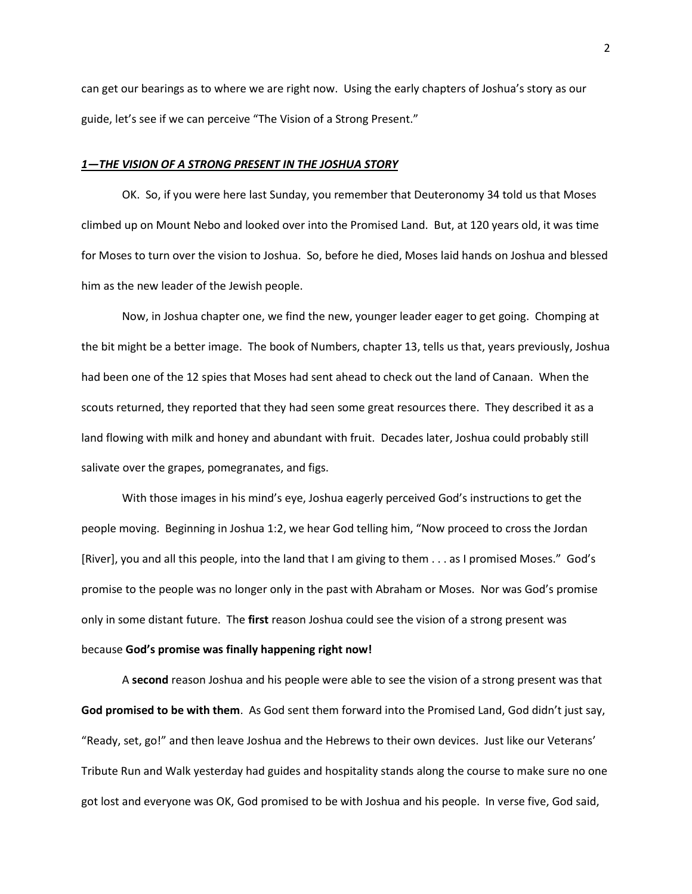can get our bearings as to where we are right now. Using the early chapters of Joshua's story as our guide, let's see if we can perceive "The Vision of a Strong Present."

## *1—THE VISION OF A STRONG PRESENT IN THE JOSHUA STORY*

OK. So, if you were here last Sunday, you remember that Deuteronomy 34 told us that Moses climbed up on Mount Nebo and looked over into the Promised Land. But, at 120 years old, it was time for Moses to turn over the vision to Joshua. So, before he died, Moses laid hands on Joshua and blessed him as the new leader of the Jewish people.

Now, in Joshua chapter one, we find the new, younger leader eager to get going. Chomping at the bit might be a better image. The book of Numbers, chapter 13, tells us that, years previously, Joshua had been one of the 12 spies that Moses had sent ahead to check out the land of Canaan. When the scouts returned, they reported that they had seen some great resources there. They described it as a land flowing with milk and honey and abundant with fruit. Decades later, Joshua could probably still salivate over the grapes, pomegranates, and figs.

With those images in his mind's eye, Joshua eagerly perceived God's instructions to get the people moving. Beginning in Joshua 1:2, we hear God telling him, "Now proceed to cross the Jordan [River], you and all this people, into the land that I am giving to them . . . as I promised Moses." God's promise to the people was no longer only in the past with Abraham or Moses. Nor was God's promise only in some distant future. The **first** reason Joshua could see the vision of a strong present was because **God's promise was finally happening right now!**

A **second** reason Joshua and his people were able to see the vision of a strong present was that **God promised to be with them**. As God sent them forward into the Promised Land, God didn't just say, "Ready, set, go!" and then leave Joshua and the Hebrews to their own devices. Just like our Veterans' Tribute Run and Walk yesterday had guides and hospitality stands along the course to make sure no one got lost and everyone was OK, God promised to be with Joshua and his people. In verse five, God said,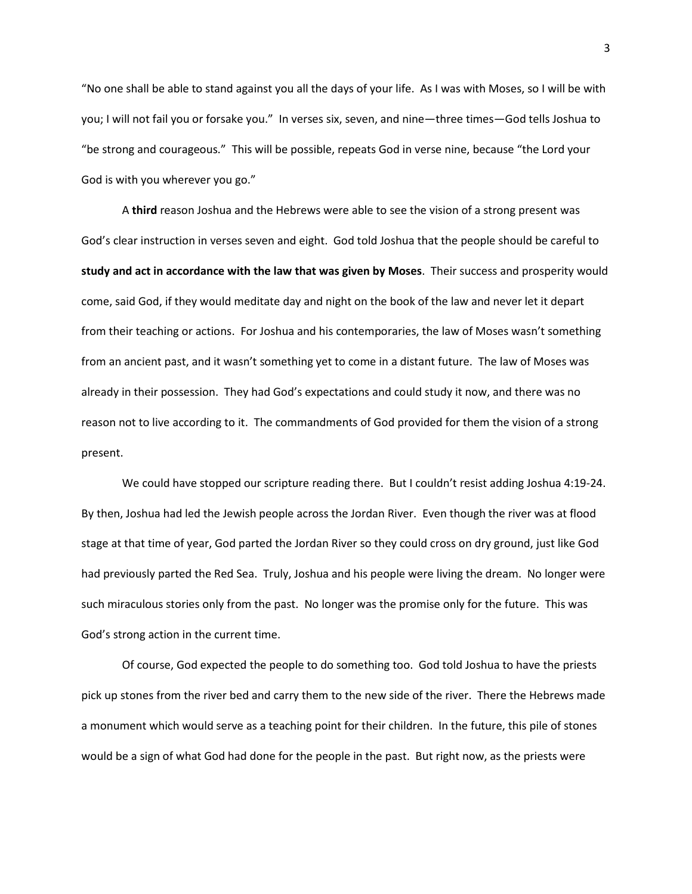"No one shall be able to stand against you all the days of your life. As I was with Moses, so I will be with you; I will not fail you or forsake you." In verses six, seven, and nine—three times—God tells Joshua to "be strong and courageous." This will be possible, repeats God in verse nine, because "the Lord your God is with you wherever you go."

A **third** reason Joshua and the Hebrews were able to see the vision of a strong present was God's clear instruction in verses seven and eight. God told Joshua that the people should be careful to **study and act in accordance with the law that was given by Moses**. Their success and prosperity would come, said God, if they would meditate day and night on the book of the law and never let it depart from their teaching or actions. For Joshua and his contemporaries, the law of Moses wasn't something from an ancient past, and it wasn't something yet to come in a distant future. The law of Moses was already in their possession. They had God's expectations and could study it now, and there was no reason not to live according to it. The commandments of God provided for them the vision of a strong present.

We could have stopped our scripture reading there. But I couldn't resist adding Joshua 4:19-24. By then, Joshua had led the Jewish people across the Jordan River. Even though the river was at flood stage at that time of year, God parted the Jordan River so they could cross on dry ground, just like God had previously parted the Red Sea. Truly, Joshua and his people were living the dream. No longer were such miraculous stories only from the past. No longer was the promise only for the future. This was God's strong action in the current time.

Of course, God expected the people to do something too. God told Joshua to have the priests pick up stones from the river bed and carry them to the new side of the river. There the Hebrews made a monument which would serve as a teaching point for their children. In the future, this pile of stones would be a sign of what God had done for the people in the past. But right now, as the priests were

3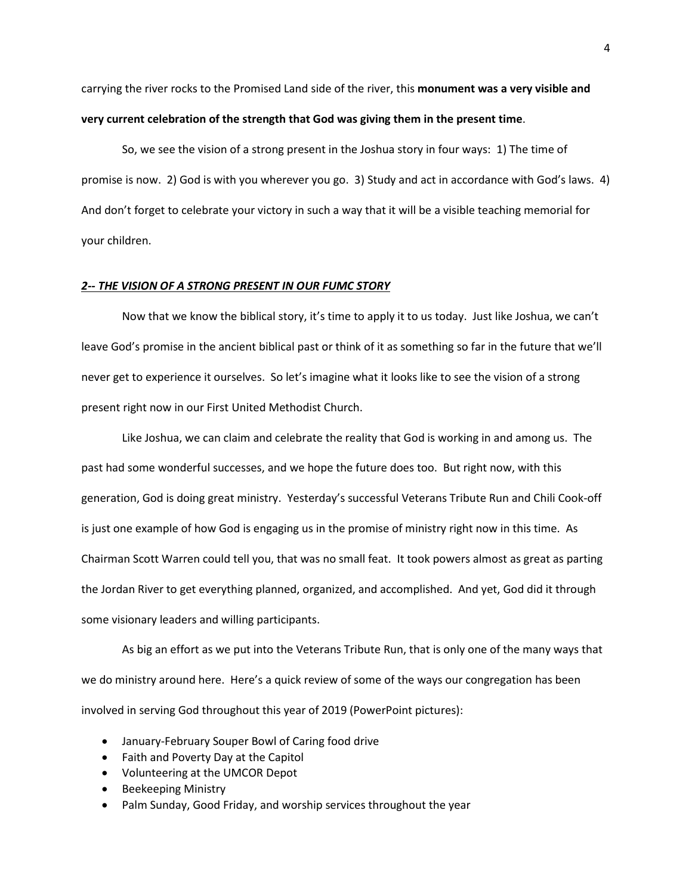carrying the river rocks to the Promised Land side of the river, this **monument was a very visible and very current celebration of the strength that God was giving them in the present time**.

So, we see the vision of a strong present in the Joshua story in four ways: 1) The time of promise is now. 2) God is with you wherever you go. 3) Study and act in accordance with God's laws. 4) And don't forget to celebrate your victory in such a way that it will be a visible teaching memorial for your children.

## *2-- THE VISION OF A STRONG PRESENT IN OUR FUMC STORY*

Now that we know the biblical story, it's time to apply it to us today. Just like Joshua, we can't leave God's promise in the ancient biblical past or think of it as something so far in the future that we'll never get to experience it ourselves. So let's imagine what it looks like to see the vision of a strong present right now in our First United Methodist Church.

Like Joshua, we can claim and celebrate the reality that God is working in and among us. The past had some wonderful successes, and we hope the future does too. But right now, with this generation, God is doing great ministry. Yesterday's successful Veterans Tribute Run and Chili Cook-off is just one example of how God is engaging us in the promise of ministry right now in this time. As Chairman Scott Warren could tell you, that was no small feat. It took powers almost as great as parting the Jordan River to get everything planned, organized, and accomplished. And yet, God did it through some visionary leaders and willing participants.

As big an effort as we put into the Veterans Tribute Run, that is only one of the many ways that we do ministry around here. Here's a quick review of some of the ways our congregation has been involved in serving God throughout this year of 2019 (PowerPoint pictures):

- January-February Souper Bowl of Caring food drive
- Faith and Poverty Day at the Capitol
- Volunteering at the UMCOR Depot
- Beekeeping Ministry
- Palm Sunday, Good Friday, and worship services throughout the year